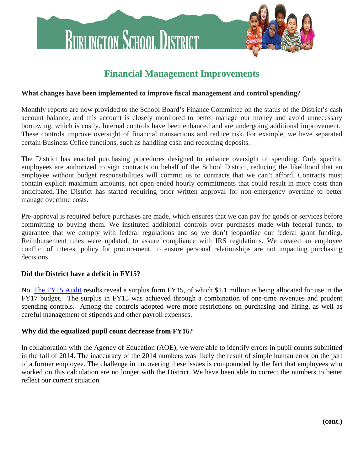

# **Financial Management Improvements**

## **What changes have been implemented to improve fiscal management and control spending?**

Monthly reports are now provided to the School Board's Finance Committee on the status of the District's cash account balance, and this account is closely monitored to better manage our money and avoid unnecessary borrowing, which is costly. Internal controls have been enhanced and are undergoing additional improvement. These controls improve oversight of financial transactions and reduce risk. For example, we have separated certain Business Office functions, such as handling cash and recording deposits.

The District has enacted purchasing procedures designed to enhance oversight of spending. Only specific employees are authorized to sign contracts on behalf of the School District, reducing the likelihood that an employee without budget responsibilities will commit us to contracts that we can't afford. Contracts must contain explicit maximum amounts, not open-ended hourly commitments that could result in more costs than anticipated. The District has started requiring prior written approval for non-emergency overtime to better manage overtime costs.

Pre-approval is required before purchases are made, which ensures that we can pay for goods or services before committing to buying them. We instituted additional controls over purchases made with federal funds, to guarantee that we comply with federal regulations and so we don't jeopardize our federal grant funding. Reimbursement rules were updated, to assure compliance with IRS regulations. We created an employee conflict of interest policy for procurement, to ensure personal relationships are not impacting purchasing decisions.

## **Did the District have a deficit in FY15?**

No. [The FY15 Audit](http://business-office.district.bsd.schoolfusion.us/modules/groups/homepagefiles/cms/2383192/File/Budget/FY17/FY15%20Burlington%20School%20District%20Audit.pdf?3c9259&sessionid=acbbc48f554dcad82a2007544d7d9995) results reveal a surplus form FY15, of which \$1.1 million is being allocated for use in the FY17 budget. The surplus in FY15 was achieved through a combination of one-time revenues and prudent spending controls. Among the controls adopted were more restrictions on purchasing and hiring, as well as careful management of stipends and other payroll expenses.

## **Why did the equalized pupil count decrease from FY16?**

In collaboration with the Agency of Education (AOE), we were able to identify errors in pupil counts submitted in the fall of 2014. The inaccuracy of the 2014 numbers was likely the result of simple human error on the part of a former employee. The challenge in uncovering these issues is compounded by the fact that employees who worked on this calculation are no longer with the District. We have been able to correct the numbers to better reflect our current situation.